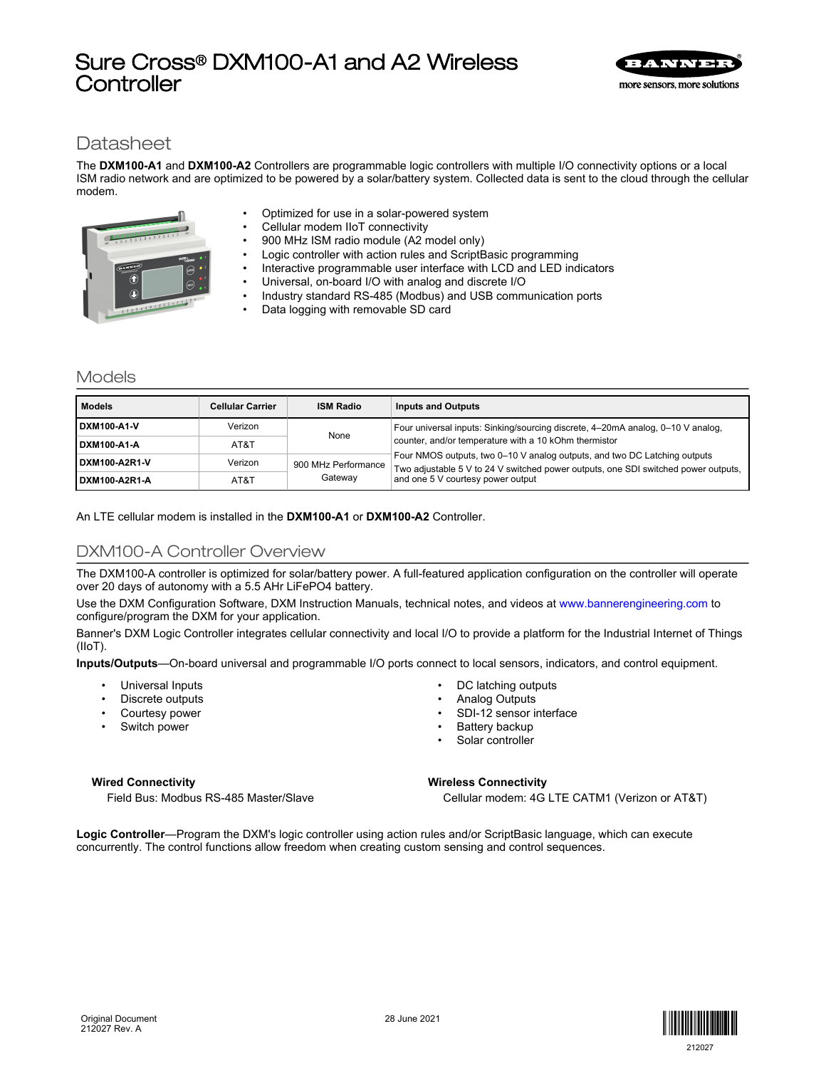# Sure Cross® DXM100-A1 and A2 Wireless **Controller**



# **Datasheet**

The **DXM100-A1** and **DXM100-A2** Controllers are programmable logic controllers with multiple I/O connectivity options or a local ISM radio network and are optimized to be powered by a solar/battery system. Collected data is sent to the cloud through the cellular modem.



- Optimized for use in a solar-powered system
- Cellular modem IIoT connectivity
- 900 MHz ISM radio module (A2 model only)
- Logic controller with action rules and ScriptBasic programming
- Interactive programmable user interface with LCD and LED indicators
	- Universal, on-board I/O with analog and discrete I/O
	- Industry standard RS-485 (Modbus) and USB communication ports
	- Data logging with removable SD card

# Models

| <b>Models</b> | <b>Cellular Carrier</b> | <b>ISM Radio</b>    | <b>Inputs and Outputs</b>                                                                                                                                       |  |  |
|---------------|-------------------------|---------------------|-----------------------------------------------------------------------------------------------------------------------------------------------------------------|--|--|
| DXM100-A1-V   | Verizon                 | None                | Four universal inputs: Sinking/sourcing discrete, 4-20mA analog, 0-10 V analog,                                                                                 |  |  |
| DXM100-A1-A   | AT&T                    |                     | counter, and/or temperature with a 10 kOhm thermistor                                                                                                           |  |  |
| DXM100-A2R1-V | Verizon                 | 900 MHz Performance | Four NMOS outputs, two 0-10 V analog outputs, and two DC Latching outputs<br>Two adjustable 5 V to 24 V switched power outputs, one SDI switched power outputs, |  |  |
| DXM100-A2R1-A | AT&T                    | Gateway             | and one 5 V courtesy power output                                                                                                                               |  |  |

An LTE cellular modem is installed in the **DXM100-A1** or **DXM100-A2** Controller.

# DXM100-A Controller Overview

The DXM100-A controller is optimized for solar/battery power. A full-featured application configuration on the controller will operate over 20 days of autonomy with a 5.5 AHr LiFePO4 battery.

Use the DXM Configuration Software, DXM Instruction Manuals, technical notes, and videos at [www.bannerengineering.com](http://www.bannerengineering.com) to configure/program the DXM for your application.

Banner's DXM Logic Controller integrates cellular connectivity and local I/O to provide a platform for the Industrial Internet of Things (IIoT).

**Inputs/Outputs**—On-board universal and programmable I/O ports connect to local sensors, indicators, and control equipment.

- Universal Inputs
- Discrete outputs
- Courtesy power
- Switch power
- DC latching outputs
- Analog Outputs
- SDI-12 sensor interface
- Battery backup
- Solar controller

#### **Wired Connectivity**

Field Bus: Modbus RS-485 Master/Slave

#### **Wireless Connectivity**

Cellular modem: 4G LTE CATM1 (Verizon or AT&T)

**Logic Controller**—Program the DXM's logic controller using action rules and/or ScriptBasic language, which can execute concurrently. The control functions allow freedom when creating custom sensing and control sequences.

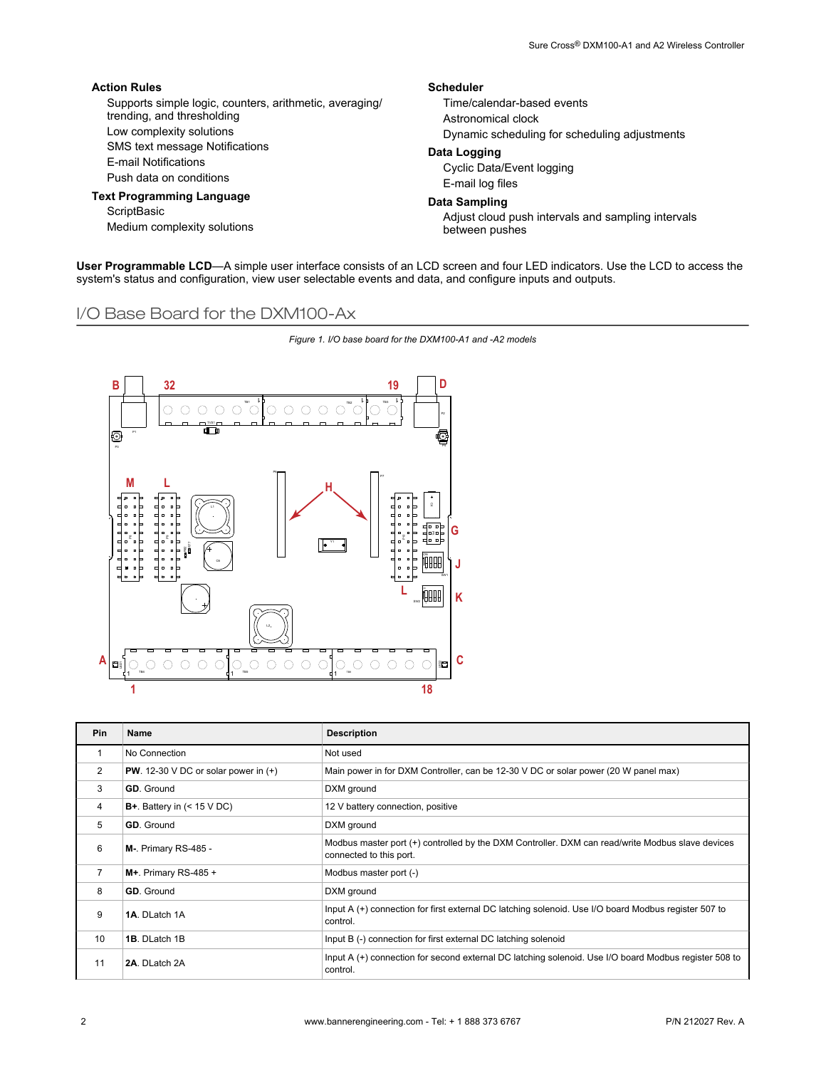| <b>Action Rules</b>                                     | <b>Scheduler</b>                                   |  |  |
|---------------------------------------------------------|----------------------------------------------------|--|--|
| Supports simple logic, counters, arithmetic, averaging/ | Time/calendar-based events                         |  |  |
| trending, and thresholding                              | Astronomical clock                                 |  |  |
| Low complexity solutions                                | Dynamic scheduling for scheduling adjustments      |  |  |
| SMS text message Notifications                          | Data Logging                                       |  |  |
| E-mail Notifications                                    | Cyclic Data/Event logging                          |  |  |
| Push data on conditions                                 | E-mail log files                                   |  |  |
| <b>Text Programming Language</b>                        | Data Sampling                                      |  |  |
| ScriptBasic                                             | Adjust cloud push intervals and sampling intervals |  |  |
| Medium complexity solutions                             | between pushes                                     |  |  |

**User Programmable LCD**—A simple user interface consists of an LCD screen and four LED indicators. Use the LCD to access the system's status and configuration, view user selectable events and data, and configure inputs and outputs.

# I/O Base Board for the DXM100-Ax





| Pin            | Name                                   | <b>Description</b>                                                                                                          |
|----------------|----------------------------------------|-----------------------------------------------------------------------------------------------------------------------------|
|                | No Connection                          | Not used                                                                                                                    |
| 2              | PW. 12-30 V DC or solar power in $(+)$ | Main power in for DXM Controller, can be 12-30 V DC or solar power (20 W panel max)                                         |
| 3              | <b>GD.</b> Ground                      | DXM ground                                                                                                                  |
| 4              | $B+$ . Battery in $($ < 15 V DC)       | 12 V battery connection, positive                                                                                           |
| 5              | <b>GD.</b> Ground                      | DXM ground                                                                                                                  |
| 6              | M-. Primary RS-485 -                   | Modbus master port (+) controlled by the DXM Controller. DXM can read/write Modbus slave devices<br>connected to this port. |
| $\overline{7}$ | M+. Primary RS-485 +                   | Modbus master port (-)                                                                                                      |
| 8              | <b>GD.</b> Ground                      | DXM ground                                                                                                                  |
| 9              | 1A. DLatch 1A                          | Input A (+) connection for first external DC latching solenoid. Use I/O board Modbus register 507 to<br>control.            |
| 10             | 1B. DLatch 1B                          | Input B (-) connection for first external DC latching solenoid                                                              |
| 11             | 2A. DLatch 2A                          | Input A (+) connection for second external DC latching solenoid. Use I/O board Modbus register 508 to<br>control.           |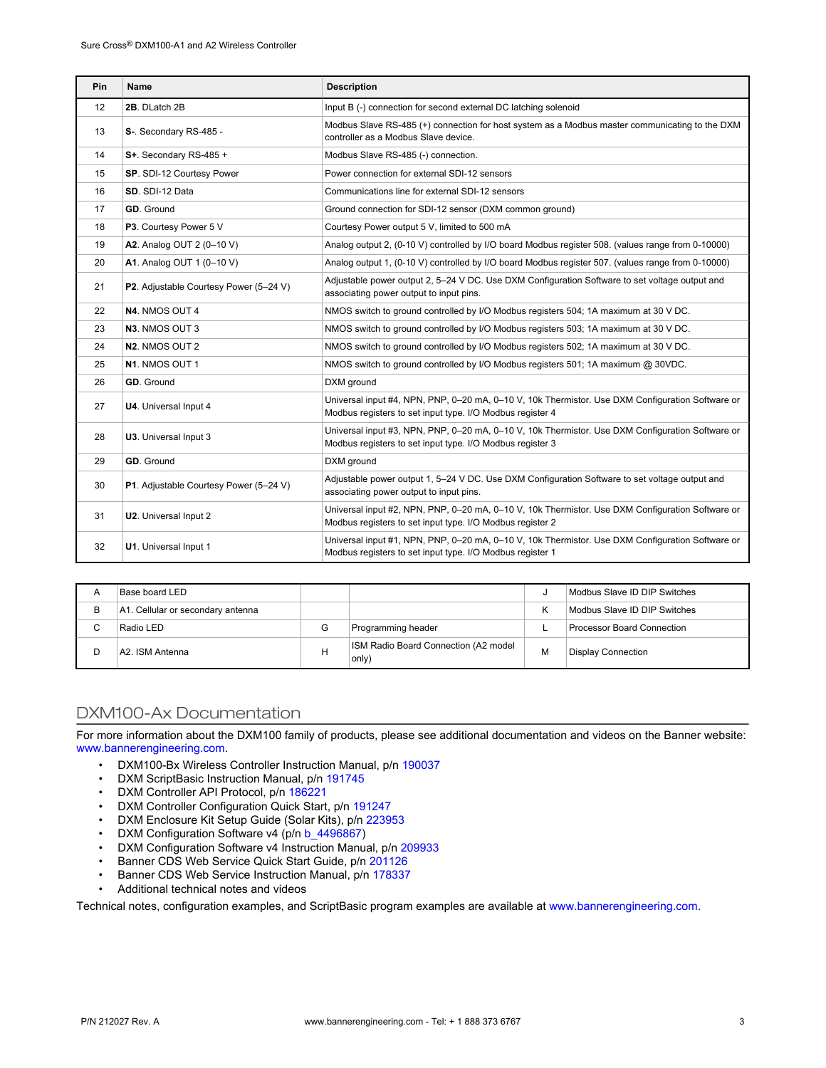| <b>Pin</b> | Name                                                                                                                                                                                   | <b>Description</b>                                                                                                                                            |  |  |
|------------|----------------------------------------------------------------------------------------------------------------------------------------------------------------------------------------|---------------------------------------------------------------------------------------------------------------------------------------------------------------|--|--|
| 12         | 2B. DLatch 2B                                                                                                                                                                          | Input B (-) connection for second external DC latching solenoid                                                                                               |  |  |
| 13         | S-. Secondary RS-485 -                                                                                                                                                                 | Modbus Slave RS-485 (+) connection for host system as a Modbus master communicating to the DXM<br>controller as a Modbus Slave device.                        |  |  |
| 14         | S+. Secondary RS-485 +                                                                                                                                                                 | Modbus Slave RS-485 (-) connection.                                                                                                                           |  |  |
| 15         | SP. SDI-12 Courtesy Power                                                                                                                                                              | Power connection for external SDI-12 sensors                                                                                                                  |  |  |
| 16         | SD. SDI-12 Data                                                                                                                                                                        | Communications line for external SDI-12 sensors                                                                                                               |  |  |
| 17         | GD. Ground                                                                                                                                                                             | Ground connection for SDI-12 sensor (DXM common ground)                                                                                                       |  |  |
| 18         | P3. Courtesy Power 5 V                                                                                                                                                                 | Courtesy Power output 5 V, limited to 500 mA                                                                                                                  |  |  |
| 19         | A2. Analog OUT 2 (0-10 V)                                                                                                                                                              | Analog output 2, (0-10 V) controlled by I/O board Modbus register 508. (values range from 0-10000)                                                            |  |  |
| 20         | A1. Analog OUT 1 (0-10 V)                                                                                                                                                              | Analog output 1, (0-10 V) controlled by I/O board Modbus register 507. (values range from 0-10000)                                                            |  |  |
| 21         | P2. Adjustable Courtesy Power (5-24 V)                                                                                                                                                 | Adjustable power output 2, 5-24 V DC. Use DXM Configuration Software to set voltage output and<br>associating power output to input pins.                     |  |  |
| 22         | N4. NMOS OUT 4                                                                                                                                                                         | NMOS switch to ground controlled by I/O Modbus registers 504; 1A maximum at 30 V DC.                                                                          |  |  |
| 23         | N3. NMOS OUT 3                                                                                                                                                                         | NMOS switch to ground controlled by I/O Modbus registers 503; 1A maximum at 30 V DC.                                                                          |  |  |
| 24         | N2. NMOS OUT 2                                                                                                                                                                         | NMOS switch to ground controlled by I/O Modbus registers 502; 1A maximum at 30 V DC.                                                                          |  |  |
| 25         | N <sub>1</sub> . NMOS OUT 1                                                                                                                                                            | NMOS switch to ground controlled by I/O Modbus registers 501; 1A maximum @ 30VDC.                                                                             |  |  |
| 26         | GD. Ground                                                                                                                                                                             | DXM ground                                                                                                                                                    |  |  |
| 27         | Universal input #4, NPN, PNP, 0-20 mA, 0-10 V, 10k Thermistor. Use DXM Configuration Software or<br>U4. Universal Input 4<br>Modbus registers to set input type. I/O Modbus register 4 |                                                                                                                                                               |  |  |
| 28         | Universal input #3, NPN, PNP, 0-20 mA, 0-10 V, 10k Thermistor. Use DXM Configuration Software or<br>U3. Universal Input 3<br>Modbus registers to set input type. I/O Modbus register 3 |                                                                                                                                                               |  |  |
| 29         | GD. Ground                                                                                                                                                                             | DXM ground                                                                                                                                                    |  |  |
| 30         | Adjustable power output 1, 5-24 V DC. Use DXM Configuration Software to set voltage output and<br>P1. Adjustable Courtesy Power (5-24 V)<br>associating power output to input pins.    |                                                                                                                                                               |  |  |
| 31         | U2. Universal Input 2                                                                                                                                                                  | Universal input #2, NPN, PNP, 0-20 mA, 0-10 V, 10k Thermistor. Use DXM Configuration Software or<br>Modbus registers to set input type. I/O Modbus register 2 |  |  |
| 32         | Universal input #1, NPN, PNP, 0-20 mA, 0-10 V, 10k Thermistor. Use DXM Configuration Software or<br>U1. Universal Input 1<br>Modbus registers to set input type. I/O Modbus register 1 |                                                                                                                                                               |  |  |

| A | Base board LED                    |   |                                               |   | Modbus Slave ID DIP Switches |
|---|-----------------------------------|---|-----------------------------------------------|---|------------------------------|
| B | A1. Cellular or secondary antenna |   |                                               | ĸ | Modbus Slave ID DIP Switches |
|   | Radio LED                         | G | Programming header                            |   | Processor Board Connection   |
|   | A2. ISM Antenna                   | н | ISM Radio Board Connection (A2 model<br>only) | М | <b>Display Connection</b>    |

# DXM100-Ax Documentation

For more information about the DXM100 family of products, please see additional documentation and videos on the Banner website: [www.bannerengineering.com.](http://www.bannerengineering.com)

- DXM100-Bx Wireless Controller Instruction Manual, p/n [190037](http://info.bannerengineering.com/cs/groups/public/documents/literature/190037.pdf)
- DXM ScriptBasic Instruction Manual, p/n [191745](http://info.bannerengineering.com/cs/groups/public/documents/literature/191745.pdf)
- DXM Controller API Protocol, p/n [186221](http://info.bannerengineering.com/cs/groups/public/documents/literature/186221.pdf)
- DXM Controller Configuration Quick Start, p/n [191247](http://info.bannerengineering.com/cs/groups/public/documents/literature/191247.pdf)
- DXM Enclosure Kit Setup Guide (Solar Kits), p/n [223953](http://info.bannerengineering.com/cs/groups/public/documents/literature/223953.pdf)
- DXM Configuration Software v4 (p/n b 4496867)
- DXM Configuration Software v4 Instruction Manual, p/n [209933](http://info.bannerengineering.com/cs/groups/public/documents/literature/209933.pdf)
- Banner CDS Web Service Quick Start Guide, p/n [201126](http://info.bannerengineering.com/cs/groups/public/documents/literature/201126.pdf)
- Banner CDS Web Service Instruction Manual, p/n [178337](http://info.bannerengineering.com/cs/groups/public/documents/literature/178337.pdf)
- Additional technical notes and videos

Technical notes, configuration examples, and ScriptBasic program examples are available at [www.bannerengineering.com](http://www.bannerengineering.com).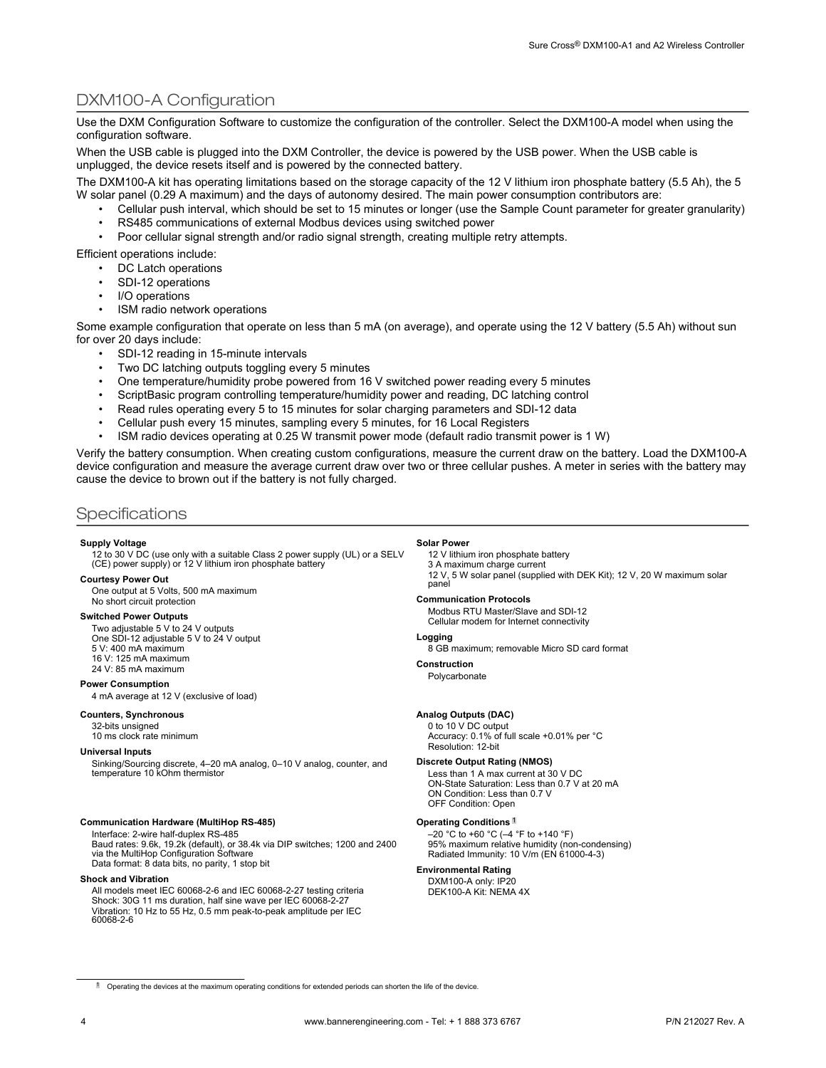# DXM100-A Configuration

Use the DXM Configuration Software to customize the configuration of the controller. Select the DXM100-A model when using the configuration software.

When the USB cable is plugged into the DXM Controller, the device is powered by the USB power. When the USB cable is unplugged, the device resets itself and is powered by the connected battery.

The DXM100-A kit has operating limitations based on the storage capacity of the 12 V lithium iron phosphate battery (5.5 Ah), the 5 W solar panel (0.29 A maximum) and the days of autonomy desired. The main power consumption contributors are:

- Cellular push interval, which should be set to 15 minutes or longer (use the Sample Count parameter for greater granularity) • RS485 communications of external Modbus devices using switched power
- Poor cellular signal strength and/or radio signal strength, creating multiple retry attempts.

Efficient operations include:

- DC Latch operations
- SDI-12 operations
- I/O operations
- ISM radio network operations

Some example configuration that operate on less than 5 mA (on average), and operate using the 12 V battery (5.5 Ah) without sun for over 20 days include:

- SDI-12 reading in 15-minute intervals
- Two DC latching outputs toggling every 5 minutes
- One temperature/humidity probe powered from 16 V switched power reading every 5 minutes
- ScriptBasic program controlling temperature/humidity power and reading, DC latching control
- Read rules operating every 5 to 15 minutes for solar charging parameters and SDI-12 data
- Cellular push every 15 minutes, sampling every 5 minutes, for 16 Local Registers
- ISM radio devices operating at 0.25 W transmit power mode (default radio transmit power is 1 W)

Verify the battery consumption. When creating custom configurations, measure the current draw on the battery. Load the DXM100-A device configuration and measure the average current draw over two or three cellular pushes. A meter in series with the battery may cause the device to brown out if the battery is not fully charged.

## **Specifications**

#### **Supply Voltage**

12 to 30 V DC (use only with a suitable Class 2 power supply (UL) or a SELV (CE) power supply) or 12 V lithium iron phosphate battery

#### **Courtesy Power Out**

One output at 5 Volts, 500 mA maximum No short circuit protection

#### **Switched Power Outputs**

Two adjustable 5 V to 24 V outputs One SDI-12 adjustable 5 V to 24 V output 5 V: 400 mA maximum 16 V: 125 mA maximum 24 V: 85 mA maximum

#### **Power Consumption**

4 mA average at 12 V (exclusive of load)

#### **Counters, Synchronous**

32-bits unsigned 10 ms clock rate minimum

**Universal Inputs**

Sinking/Sourcing discrete, 4–20 mA analog, 0–10 V analog, counter, and temperature 10 kOhm thermistor

#### **Communication Hardware (MultiHop RS-485)**

Interface: 2-wire half-duplex RS-485

Baud rates: 9.6k, 19.2k (default), or 38.4k via DIP switches; 1200 and 2400 via the MultiHop Configuration Software Data format: 8 data bits, no parity, 1 stop bit

#### **Shock and Vibration**

All models meet IEC 60068-2-6 and IEC 60068-2-27 testing criteria Shock: 30G 11 ms duration, half sine wave per IEC 60068-2-27 Vibration: 10 Hz to 55 Hz, 0.5 mm peak-to-peak amplitude per IEC 60068-2-6

#### **Solar Power**

12 V lithium iron phosphate battery 3 A maximum charge current 12 V, 5 W solar panel (supplied with DEK Kit); 12 V, 20 W maximum solar panel

#### **Communication Protocols**

Modbus RTU Master/Slave and SDI-12 Cellular modem for Internet connectivity

#### **Logging**

8 GB maximum; removable Micro SD card format

**Construction**

Polycarbonate

#### **Analog Outputs (DAC)**

0 to 10 V DC output Accuracy: 0.1% of full scale +0.01% per °C Resolution: 12-bit

#### **Discrete Output Rating (NMOS)**

Less than 1 A max current at 30 V DC ON-State Saturation: Less than 0.7 V at 20 mA ON Condition: Less than 0.7 V OFF Condition: Open

#### **Operating Conditions** <sup>1</sup>

–20 °C to +60 °C (–4 °F to +140 °F) 95% maximum relative humidity (non-condensing) Radiated Immunity: 10 V/m (EN 61000-4-3)

## **Environmental Rating**

DXM100-A only: IP20 DEK100-A Kit: NEMA 4X

<sup>1</sup> Operating the devices at the maximum operating conditions for extended periods can shorten the life of the device.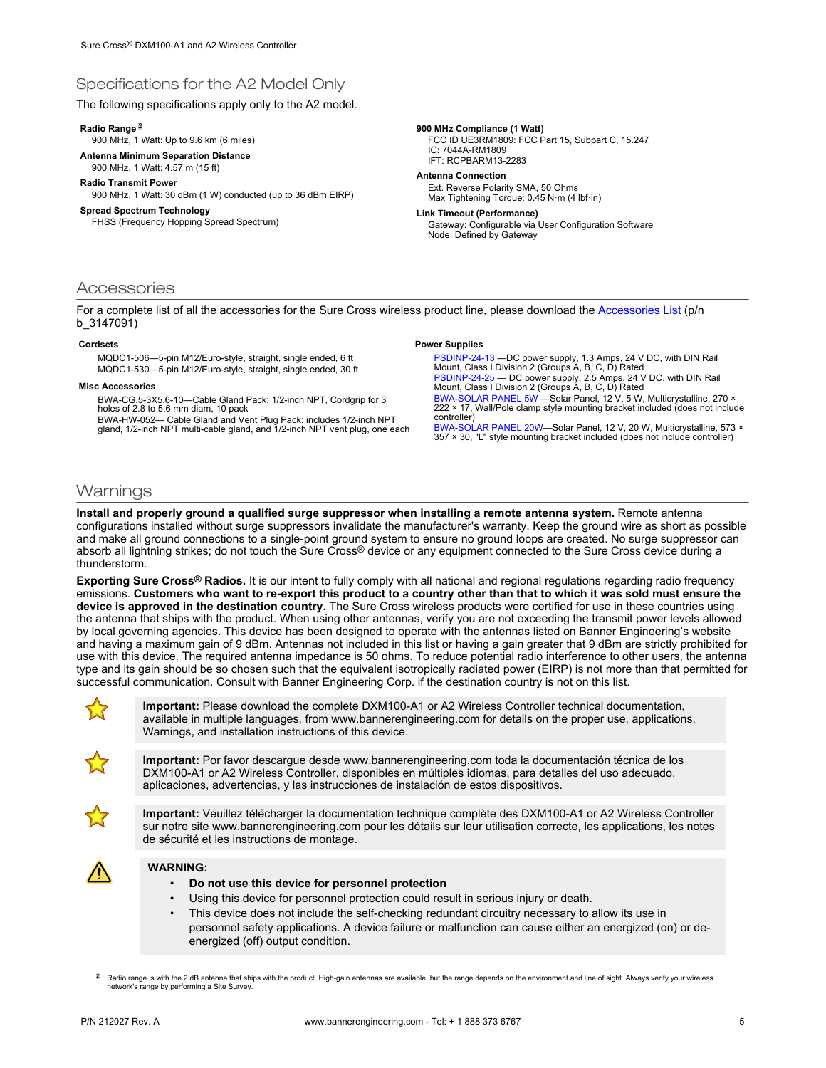# Specifications for the A2 Model Only

The following specifications apply only to the A2 model.

#### **Radio Range** <sup>2</sup>

900 MHz, 1 Watt: Up to 9.6 km (6 miles)

**Antenna Minimum Separation Distance**

900 MHz, 1 Watt: 4.57 m (15 ft)

**Radio Transmit Power** 900 MHz, 1 Watt: 30 dBm (1 W) conducted (up to 36 dBm EIRP)

### **Spread Spectrum Technology**

FHSS (Frequency Hopping Spread Spectrum)

#### **900 MHz Compliance (1 Watt)**

FCC ID UE3RM1809: FCC Part 15, Subpart C, 15.247 IC: 7044A-RM1809 IFT: RCPBARM13-2283

# **Antenna Connection**

Ext. Reverse Polarity SMA, 50 Ohms Max Tightening Torque: 0.45 N·m (4 lbf·in)

**Link Timeout (Performance)**

**Power Supplies**

Gateway: Configurable via User Configuration Software Node: Defined by Gateway

## **Accessories**

For a complete list of all the accessories for the Sure Cross wireless product line, please download the [Accessories List](http://info.bannersalesforce.com/intradoc-cgi/nph-idc_cgi.exe?IdcService=GET_FILE&dDocName=b_3147091&RevisionSelectionMethod=Latest&Rendition=web) (p/n b\_3147091)

#### **Cordsets**

MQDC1-506—5-pin M12/Euro-style, straight, single ended, 6 ft MQDC1-530—5-pin M12/Euro-style, straight, single ended, 30 ft

#### **Misc Accessories**

BWA-CG.5-3X5.6-10—Cable Gland Pack: 1/2-inch NPT, Cordgrip for 3 holes of 2.8 to 5.6 mm diam, 10 pack

BWA-HW-052— Cable Gland and Vent Plug Pack: includes 1/2-inch NPT gland, 1/2-inch NPT multi-cable gland, and 1/2-inch NPT vent plug, one each

[PSDINP-24-13 —](http://info.bannersalesforce.com/intradoc-cgi/nph-idc_cgi.exe?IdcService=GET_FILE&dDocName=180340&RevisionSelectionMethod=Latest&Rendition=web)DC power supply, 1.3 Amps, 24 V DC, with DIN Rail Mount, Class I Division 2 (Groups A, B, C, D) Rated [PSDINP-24-25 —](http://info.bannersalesforce.com/intradoc-cgi/nph-idc_cgi.exe?IdcService=GET_FILE&dDocName=180340&RevisionSelectionMethod=Latest&Rendition=web) DC power supply, 2.5 Amps, 24 V DC, with DIN Rail Mount, Class I Division 2 (Groups A, B, C, D) Rated [BWA-SOLAR PANEL 5W](http://info.bannersalesforce.com/intradoc-cgi/nph-idc_cgi.exe?IdcService=GET_FILE&dDocName=185281&RevisionSelectionMethod=Latest&Rendition=web) —Solar Panel, 12 V, 5 W, Multicrystalline, 270 × 222 × 17, Wall/Pole clamp style mounting bracket included (does not include controller) [BWA-SOLAR PANEL 20W—](http://info.bannersalesforce.com/intradoc-cgi/nph-idc_cgi.exe?IdcService=GET_FILE&dDocName=185282&RevisionSelectionMethod=Latest&Rendition=web)Solar Panel, 12 V, 20 W, Multicrystalline, 573 ×

357 × 30, "L" style mounting bracket included (does not include controller)

## **Warnings**

**Install and properly ground a qualified surge suppressor when installing a remote antenna system.** Remote antenna configurations installed without surge suppressors invalidate the manufacturer's warranty. Keep the ground wire as short as possible and make all ground connections to a single-point ground system to ensure no ground loops are created. No surge suppressor can absorb all lightning strikes; do not touch the Sure Cross® device or any equipment connected to the Sure Cross device during a thunderstorm.

**Exporting Sure Cross® Radios.** It is our intent to fully comply with all national and regional regulations regarding radio frequency emissions. **Customers who want to re-export this product to a country other than that to which it was sold must ensure the device is approved in the destination country.** The Sure Cross wireless products were certified for use in these countries using the antenna that ships with the product. When using other antennas, verify you are not exceeding the transmit power levels allowed by local governing agencies. This device has been designed to operate with the antennas listed on Banner Engineering's website and having a maximum gain of 9 dBm. Antennas not included in this list or having a gain greater that 9 dBm are strictly prohibited for use with this device. The required antenna impedance is 50 ohms. To reduce potential radio interference to other users, the antenna type and its gain should be so chosen such that the equivalent isotropically radiated power (EIRP) is not more than that permitted for successful communication. Consult with Banner Engineering Corp. if the destination country is not on this list.



**Important:** Please download the complete DXM100-A1 or A2 Wireless Controller technical documentation, available in multiple languages, from www.bannerengineering.com for details on the proper use, applications, Warnings, and installation instructions of this device.



**Important:** Por favor descargue desde www.bannerengineering.com toda la documentación técnica de los DXM100-A1 or A2 Wireless Controller, disponibles en múltiples idiomas, para detalles del uso adecuado, aplicaciones, advertencias, y las instrucciones de instalación de estos dispositivos.



**Important:** Veuillez télécharger la documentation technique complète des DXM100-A1 or A2 Wireless Controller sur notre site www.bannerengineering.com pour les détails sur leur utilisation correcte, les applications, les notes de sécurité et les instructions de montage.



#### **WARNING:**

- **Do not use this device for personnel protection**
- Using this device for personnel protection could result in serious injury or death.
- This device does not include the self-checking redundant circuitry necessary to allow its use in personnel safety applications. A device failure or malfunction can cause either an energized (on) or deenergized (off) output condition.

<sup>&</sup>lt;sup>2</sup> Radio range is with the 2 dB antenna that ships with the product. High-gain antennas are available, but the range depends on the environment and line of sight. Always verify your wireless<br>network's range by performing